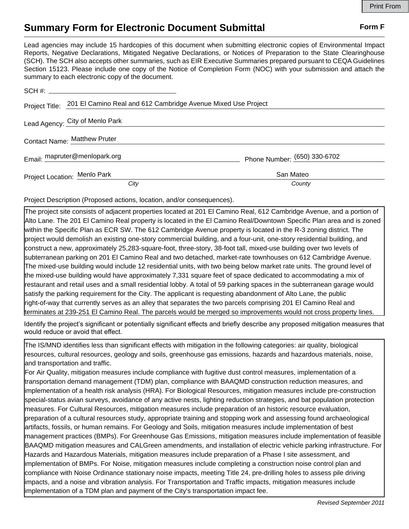## **Summary Form for Electronic Document Submittal Form F Form F**

Lead agencies may include 15 hardcopies of this document when submitting electronic copies of Environmental Impact Reports, Negative Declarations, Mitigated Negative Declarations, or Notices of Preparation to the State Clearinghouse (SCH). The SCH also accepts other summaries, such as EIR Executive Summaries prepared pursuant to CEQA Guidelines Section 15123. Please include one copy of the Notice of Completion Form (NOC) with your submission and attach the summary to each electronic copy of the document.

|                              | Project Title: 201 El Camino Real and 612 Cambridge Avenue Mixed Use Project |                              |
|------------------------------|------------------------------------------------------------------------------|------------------------------|
|                              | Lead Agency: City of Menlo Park                                              |                              |
| Contact Name: Matthew Pruter |                                                                              |                              |
|                              | Email: mapruter@menlopark.org                                                | Phone Number: (650) 330-6702 |
|                              | Project Location: Menlo Park                                                 | San Mateo                    |
|                              | City                                                                         | County                       |

Project Description (Proposed actions, location, and/or consequences).

The project site consists of adjacent properties located at 201 El Camino Real, 612 Cambridge Avenue, and a portion of Alto Lane. The 201 El Camino Real property is located in the El Camino Real/Downtown Specific Plan area and is zoned within the Specific Plan as ECR SW. The 612 Cambridge Avenue property is located in the R-3 zoning district. The project would demolish an existing one-story commercial building, and a four-unit, one-story residential building, and construct a new, approximately 25,283-square-foot, three-story, 38-foot tall, mixed-use building over two levels of subterranean parking on 201 El Camino Real and two detached, market-rate townhouses on 612 Cambridge Avenue. The mixed-use building would include 12 residential units, with two being below market rate units. The ground level of the mixed-use building would have approximately 7,331 square feet of space dedicated to accommodating a mix of restaurant and retail uses and a small residential lobby. A total of 59 parking spaces in the subterranean garage would satisfy the parking requirement for the City. The applicant is requesting abandonment of Alto Lane, the public right-of-way that currently serves as an alley that separates the two parcels comprising 201 El Camino Real and terminates at 239-251 El Camino Real. The parcels would be merged so improvements would not cross property lines.

Identify the project's significant or potentially significant effects and briefly describe any proposed mitigation measures that would reduce or avoid that effect.

The IS/MND identifies less than significant effects with mitigation in the following categories: air quality, biological resources, cultural resources, geology and soils, greenhouse gas emissions, hazards and hazardous materials, noise, and transportation and traffic.

For Air Quality, mitigation measures include compliance with fugitive dust control measures, implementation of a transportation demand management (TDM) plan, compliance with BAAQMD construction reduction measures, and implementation of a health risk analysis (HRA). For Biological Resources, mitigation measures include pre-construction special-status avian surveys, avoidance of any active nests, lighting reduction strategies, and bat population protection measures. For Cultural Resources, mitigation measures include preparation of an historic resource evaluation, preparation of a cultural resources study, appropriate training and stopping work and assessing found archaeological artifacts, fossils, or human remains. For Geology and Soils, mitigation measures include implementation of best management practices (BMPs). For Greenhouse Gas Emissions, mitigation measures include implementation of feasible BAAQMD mitigation measures and CALGreen amendments, and installation of electric vehicle parking infrastructure. For Hazards and Hazardous Materials, mitigation measures include preparation of a Phase I site assessment, and implementation of BMPs. For Noise, mitigation measures include completing a construction noise control plan and compliance with Noise Ordinance stationary noise impacts, meeting Title 24, pre-drilling holes to assess pile driving impacts, and a noise and vibration analysis. For Transportation and Traffic impacts, mitigation measures include implementation of a TDM plan and payment of the City's transportation impact fee.